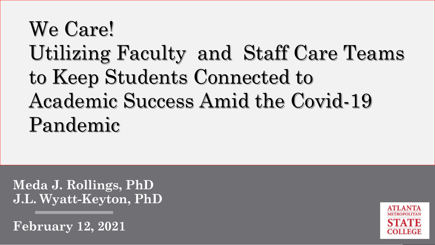# We Care! Utilizing Faculty and Staff Care Teams to Keep Students Connected to Academic Success Amid the Covid-19 Pandemic

**Meda J. Rollings, PhD J.L. Wyatt-Keyton, PhD**

**February 12, 2021**

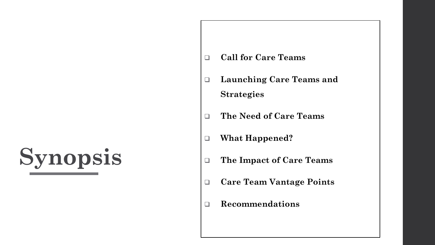# **Synopsis**

- ❑ **Call for Care Teams**
- ❑ **Launching Care Teams and Strategies**
- ❑ **The Need of Care Teams**
- ❑ **What Happened?**
- ❑ **The Impact of Care Teams**
- ❑ **Care Team Vantage Points**
- ❑ **Recommendations**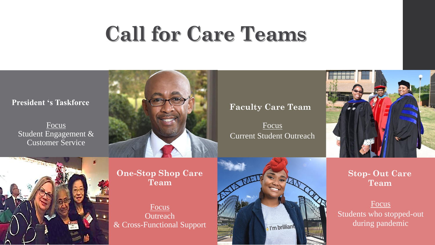# **Call for Care Teams**

Focus Student Engagement & Customer Service



Focus Current Student Outreach



**One-Stop Shop Care Team**

Focus **Outreach** & Cross-Functional Support



### **Stop- Out Care Team**

### Focus

Students who stopped-out during pandemic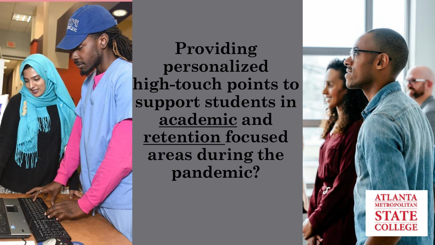

**Providing personalized high-touch points to support students in academic and retention focused areas during the pandemic?**

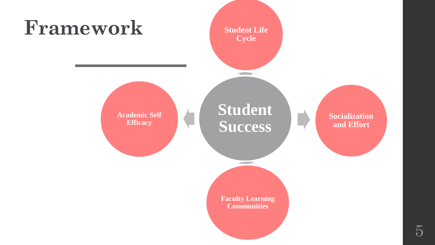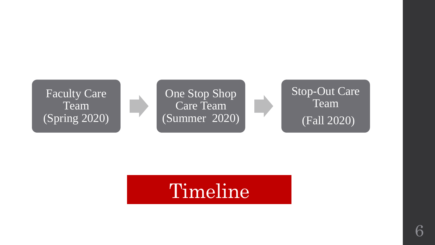

# Timeline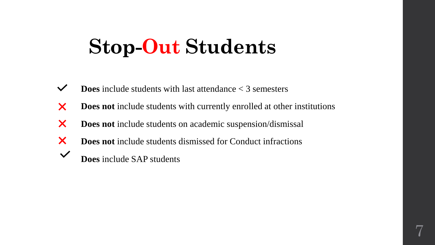## **Stop-Out Students**

- $\checkmark$ **Does** include students with last attendance < 3 semesters
- X **Does not** include students with currently enrolled at other institutions
- X **Does not** include students on academic suspension/dismissal
- X **Does not** include students dismissed for Conduct infractions
- $\checkmark$ **Does** include SAP students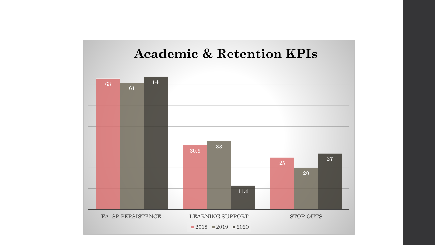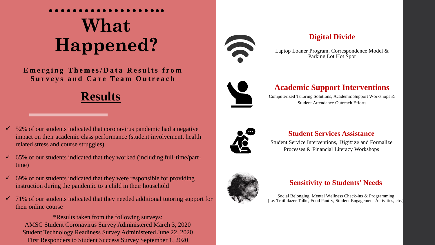## **……………….. What Happened?**

**E**merging Themes/Data Results from **Surveys and Care Team Outreach** 





- $\checkmark$  65% of our students indicated that they worked (including full-time/parttime)
- $\checkmark$  69% of our students indicated that they were responsible for providing instruction during the pandemic to a child in their household
- $\checkmark$  71% of our students indicated that they needed additional tutoring support for their online course

### \*Results taken from the following surveys: AMSC Student Coronavirus Survey Administered March 3, 2020 Student Technology Readiness Survey Administered June 22, 2020 First Responders to Student Success Survey September 1, 2020



### **Digital Divide**

Laptop Loaner Program, Correspondence Model & Parking Lot Hot Spot



### **Academic Support Interventions**

Computerized Tutoring Solutions, Academic Support Workshops & Student Attendance Outreach Efforts



### **Student Services Assistance**

Student Service Interventions, Digitize and Formalize Processes & Financial Literacy Workshops



### **Sensitivity to Students' Needs**

Social Belonging, Mental Wellness Check-ins & Programming (i.e. Trailblazer Talks, Food Pantry, Student Engagement Activities, etc.)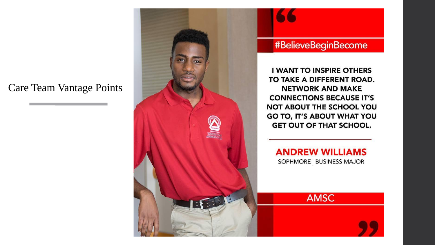### Care Team Vantage Points

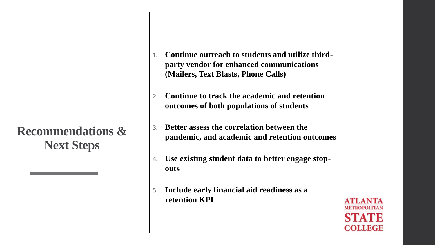### **Recommendations & Next Steps**

- **1. Continue outreach to students and utilize thirdparty vendor for enhanced communications (Mailers, Text Blasts, Phone Calls)**
- **2. Continue to track the academic and retention outcomes of both populations of students**
- **3. Better assess the correlation between the pandemic, and academic and retention outcomes**
- **4. Use existing student data to better engage stopouts**
- **5. Include early financial aid readiness as a retention KPI**